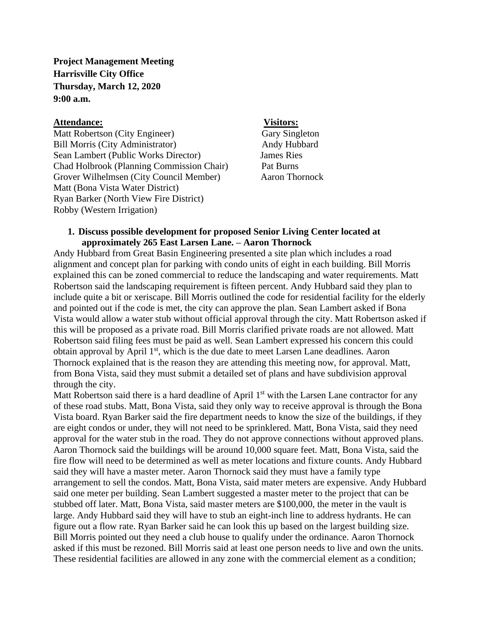**Project Management Meeting Harrisville City Office Thursday, March 12, 2020 9:00 a.m.**

### **Attendance: Visitors:**

Matt Robertson (City Engineer) Gary Singleton Bill Morris (City Administrator) Andy Hubbard Sean Lambert (Public Works Director) James Ries Chad Holbrook (Planning Commission Chair) Pat Burns Grover Wilhelmsen (City Council Member) Aaron Thornock Matt (Bona Vista Water District) Ryan Barker (North View Fire District) Robby (Western Irrigation)

### **1. Discuss possible development for proposed Senior Living Center located at approximately 265 East Larsen Lane. – Aaron Thornock**

Andy Hubbard from Great Basin Engineering presented a site plan which includes a road alignment and concept plan for parking with condo units of eight in each building. Bill Morris explained this can be zoned commercial to reduce the landscaping and water requirements. Matt Robertson said the landscaping requirement is fifteen percent. Andy Hubbard said they plan to include quite a bit or xeriscape. Bill Morris outlined the code for residential facility for the elderly and pointed out if the code is met, the city can approve the plan. Sean Lambert asked if Bona Vista would allow a water stub without official approval through the city. Matt Robertson asked if this will be proposed as a private road. Bill Morris clarified private roads are not allowed. Matt Robertson said filing fees must be paid as well. Sean Lambert expressed his concern this could obtain approval by April 1<sup>st</sup>, which is the due date to meet Larsen Lane deadlines. Aaron Thornock explained that is the reason they are attending this meeting now, for approval. Matt, from Bona Vista, said they must submit a detailed set of plans and have subdivision approval through the city.

Matt Robertson said there is a hard deadline of April  $1<sup>st</sup>$  with the Larsen Lane contractor for any of these road stubs. Matt, Bona Vista, said they only way to receive approval is through the Bona Vista board. Ryan Barker said the fire department needs to know the size of the buildings, if they are eight condos or under, they will not need to be sprinklered. Matt, Bona Vista, said they need approval for the water stub in the road. They do not approve connections without approved plans. Aaron Thornock said the buildings will be around 10,000 square feet. Matt, Bona Vista, said the fire flow will need to be determined as well as meter locations and fixture counts. Andy Hubbard said they will have a master meter. Aaron Thornock said they must have a family type arrangement to sell the condos. Matt, Bona Vista, said mater meters are expensive. Andy Hubbard said one meter per building. Sean Lambert suggested a master meter to the project that can be stubbed off later. Matt, Bona Vista, said master meters are \$100,000, the meter in the vault is large. Andy Hubbard said they will have to stub an eight-inch line to address hydrants. He can figure out a flow rate. Ryan Barker said he can look this up based on the largest building size. Bill Morris pointed out they need a club house to qualify under the ordinance. Aaron Thornock asked if this must be rezoned. Bill Morris said at least one person needs to live and own the units. These residential facilities are allowed in any zone with the commercial element as a condition;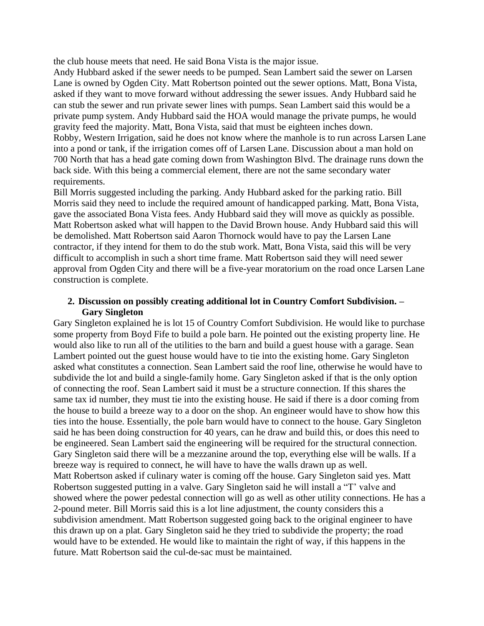the club house meets that need. He said Bona Vista is the major issue.

Andy Hubbard asked if the sewer needs to be pumped. Sean Lambert said the sewer on Larsen Lane is owned by Ogden City. Matt Robertson pointed out the sewer options. Matt, Bona Vista, asked if they want to move forward without addressing the sewer issues. Andy Hubbard said he can stub the sewer and run private sewer lines with pumps. Sean Lambert said this would be a private pump system. Andy Hubbard said the HOA would manage the private pumps, he would gravity feed the majority. Matt, Bona Vista, said that must be eighteen inches down. Robby, Western Irrigation, said he does not know where the manhole is to run across Larsen Lane

into a pond or tank, if the irrigation comes off of Larsen Lane. Discussion about a man hold on 700 North that has a head gate coming down from Washington Blvd. The drainage runs down the back side. With this being a commercial element, there are not the same secondary water requirements.

Bill Morris suggested including the parking. Andy Hubbard asked for the parking ratio. Bill Morris said they need to include the required amount of handicapped parking. Matt, Bona Vista, gave the associated Bona Vista fees. Andy Hubbard said they will move as quickly as possible. Matt Robertson asked what will happen to the David Brown house. Andy Hubbard said this will be demolished. Matt Robertson said Aaron Thornock would have to pay the Larsen Lane contractor, if they intend for them to do the stub work. Matt, Bona Vista, said this will be very difficult to accomplish in such a short time frame. Matt Robertson said they will need sewer approval from Ogden City and there will be a five-year moratorium on the road once Larsen Lane construction is complete.

# **2. Discussion on possibly creating additional lot in Country Comfort Subdivision. – Gary Singleton**

Gary Singleton explained he is lot 15 of Country Comfort Subdivision. He would like to purchase some property from Boyd Fife to build a pole barn. He pointed out the existing property line. He would also like to run all of the utilities to the barn and build a guest house with a garage. Sean Lambert pointed out the guest house would have to tie into the existing home. Gary Singleton asked what constitutes a connection. Sean Lambert said the roof line, otherwise he would have to subdivide the lot and build a single-family home. Gary Singleton asked if that is the only option of connecting the roof. Sean Lambert said it must be a structure connection. If this shares the same tax id number, they must tie into the existing house. He said if there is a door coming from the house to build a breeze way to a door on the shop. An engineer would have to show how this ties into the house. Essentially, the pole barn would have to connect to the house. Gary Singleton said he has been doing construction for 40 years, can he draw and build this, or does this need to be engineered. Sean Lambert said the engineering will be required for the structural connection. Gary Singleton said there will be a mezzanine around the top, everything else will be walls. If a breeze way is required to connect, he will have to have the walls drawn up as well. Matt Robertson asked if culinary water is coming off the house. Gary Singleton said yes. Matt Robertson suggested putting in a valve. Gary Singleton said he will install a "T' valve and showed where the power pedestal connection will go as well as other utility connections. He has a 2-pound meter. Bill Morris said this is a lot line adjustment, the county considers this a subdivision amendment. Matt Robertson suggested going back to the original engineer to have this drawn up on a plat. Gary Singleton said he they tried to subdivide the property; the road would have to be extended. He would like to maintain the right of way, if this happens in the future. Matt Robertson said the cul-de-sac must be maintained.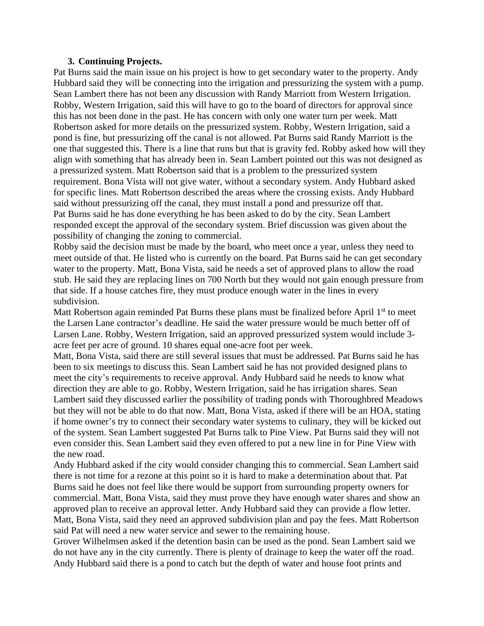## **3. Continuing Projects.**

Pat Burns said the main issue on his project is how to get secondary water to the property. Andy Hubbard said they will be connecting into the irrigation and pressurizing the system with a pump. Sean Lambert there has not been any discussion with Randy Marriott from Western Irrigation. Robby, Western Irrigation, said this will have to go to the board of directors for approval since this has not been done in the past. He has concern with only one water turn per week. Matt Robertson asked for more details on the pressurized system. Robby, Western Irrigation, said a pond is fine, but pressurizing off the canal is not allowed. Pat Burns said Randy Marriott is the one that suggested this. There is a line that runs but that is gravity fed. Robby asked how will they align with something that has already been in. Sean Lambert pointed out this was not designed as a pressurized system. Matt Robertson said that is a problem to the pressurized system requirement. Bona Vista will not give water, without a secondary system. Andy Hubbard asked for specific lines. Matt Robertson described the areas where the crossing exists. Andy Hubbard said without pressurizing off the canal, they must install a pond and pressurize off that. Pat Burns said he has done everything he has been asked to do by the city. Sean Lambert responded except the approval of the secondary system. Brief discussion was given about the possibility of changing the zoning to commercial.

Robby said the decision must be made by the board, who meet once a year, unless they need to meet outside of that. He listed who is currently on the board. Pat Burns said he can get secondary water to the property. Matt, Bona Vista, said he needs a set of approved plans to allow the road stub. He said they are replacing lines on 700 North but they would not gain enough pressure from that side. If a house catches fire, they must produce enough water in the lines in every subdivision.

Matt Robertson again reminded Pat Burns these plans must be finalized before April  $1<sup>st</sup>$  to meet the Larsen Lane contractor's deadline. He said the water pressure would be much better off of Larsen Lane. Robby, Western Irrigation, said an approved pressurized system would include 3 acre feet per acre of ground. 10 shares equal one-acre foot per week.

Matt, Bona Vista, said there are still several issues that must be addressed. Pat Burns said he has been to six meetings to discuss this. Sean Lambert said he has not provided designed plans to meet the city's requirements to receive approval. Andy Hubbard said he needs to know what direction they are able to go. Robby, Western Irrigation, said he has irrigation shares. Sean Lambert said they discussed earlier the possibility of trading ponds with Thoroughbred Meadows but they will not be able to do that now. Matt, Bona Vista, asked if there will be an HOA, stating if home owner's try to connect their secondary water systems to culinary, they will be kicked out of the system. Sean Lambert suggested Pat Burns talk to Pine View. Pat Burns said they will not even consider this. Sean Lambert said they even offered to put a new line in for Pine View with the new road.

Andy Hubbard asked if the city would consider changing this to commercial. Sean Lambert said there is not time for a rezone at this point so it is hard to make a determination about that. Pat Burns said he does not feel like there would be support from surrounding property owners for commercial. Matt, Bona Vista, said they must prove they have enough water shares and show an approved plan to receive an approval letter. Andy Hubbard said they can provide a flow letter. Matt, Bona Vista, said they need an approved subdivision plan and pay the fees. Matt Robertson said Pat will need a new water service and sewer to the remaining house.

Grover Wilhelmsen asked if the detention basin can be used as the pond. Sean Lambert said we do not have any in the city currently. There is plenty of drainage to keep the water off the road. Andy Hubbard said there is a pond to catch but the depth of water and house foot prints and